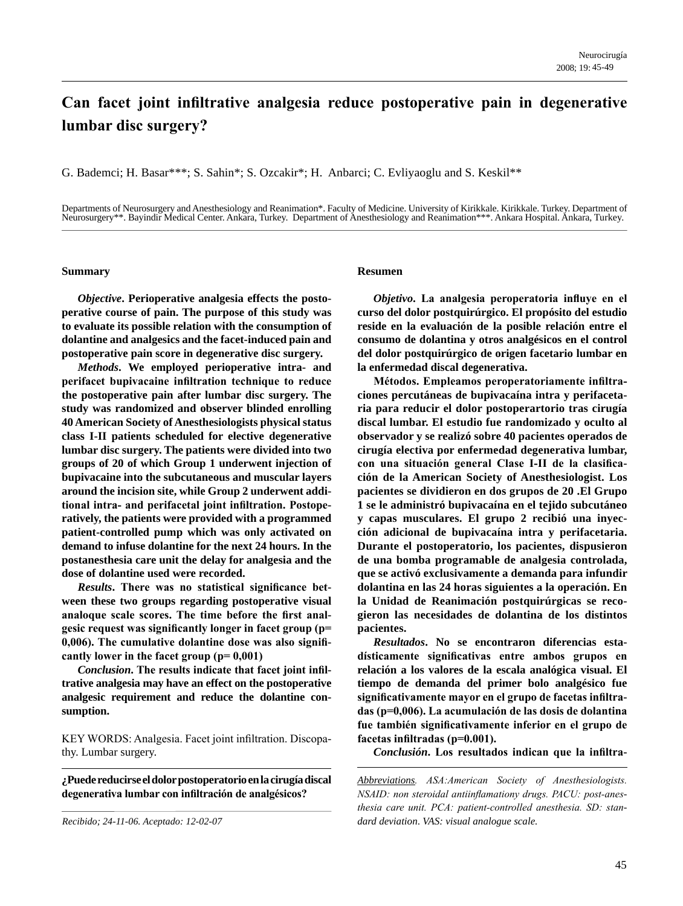# **Can facet joint infiltrative analgesia reduce postoperative pain in degenerative lumbar disc surgery?**

G. Bademci; H. Basar\*\*\*; S. Sahin\*; S. Ozcakir\*; H. Anbarci; C. Evliyaoglu and S. Keskil\*\*

Departments of Neurosurgery and Anesthesiology and Reanimation\*. Faculty of Medicine. University of Kirikkale. Kirikkale. Turkey. Department of Neurosurgery\*\*. Bayindir Medical Center. Ankara, Turkey. Department of Anesthesiology and Reanimation\*\*\*. Ankara Hospital. Ankara, Turkey.

**Summary**

*Objective***. Perioperative analgesia effects the postoperative course of pain. The purpose of this study was to evaluate its possible relation with the consumption of dolantine and analgesics and the facet-induced pain and postoperative pain score in degenerative disc surgery.**

*Methods***. We employed perioperative intra- and perifacet bupivacaine infiltration technique to reduce the postoperative pain after lumbar disc surgery. The study was randomized and observer blinded enrolling 40 American Society of Anesthesiologists physical status class I-II patients scheduled for elective degenerative lumbar disc surgery. The patients were divided into two groups of 20 of which Group 1 underwent injection of bupivacaine into the subcutaneous and muscular layers around the incision site, while Group 2 underwent additional intra- and perifacetal joint infiltration. Postoperatively, the patients were provided with a programmed patient-controlled pump which was only activated on demand to infuse dolantine for the next 24 hours. In the postanesthesia care unit the delay for analgesia and the dose of dolantine used were recorded.**

*Results***. There was no statistical significance between these two groups regarding postoperative visual analoque scale scores. The time before the first analgesic request was significantly longer in facet group (p= 0,006). The cumulative dolantine dose was also significantly lower in the facet group (p= 0,001)**

*Conclusion***. The results indicate that facet joint infiltrative analgesia may have an effect on the postoperative analgesic requirement and reduce the dolantine consumption.**

KEY WORDS: Analgesia. Facet joint infiltration. Discopathy. Lumbar surgery.

**¿Puedereducirseeldolorpostoperatorioenlacirugíadiscal degenerativa lumbar con infiltración de analgésicos?**

#### **Resumen**

*Objetivo***. La analgesia peroperatoria influye en el curso del dolor postquirúrgico. El propósito del estudio reside en la evaluación de la posible relación entre el consumo de dolantina y otros analgésicos en el control del dolor postquirúrgico de origen facetario lumbar en la enfermedad discal degenerativa.**

**Métodos. Empleamos peroperatoriamente infiltraciones percutáneas de bupivacaína intra y perifacetaria para reducir el dolor postoperartorio tras cirugía discal lumbar. El estudio fue randomizado y oculto al observador y se realizó sobre 40 pacientes operados de cirugía electiva por enfermedad degenerativa lumbar, con una situación general Clase I-II de la clasificación de la American Society of Anesthesiologist. Los pacientes se dividieron en dos grupos de 20 .El Grupo 1 se le administró bupivacaína en el tejido subcutáneo y capas musculares. El grupo 2 recibió una inyección adicional de bupivacaína intra y perifacetaria. Durante el postoperatorio, los pacientes, dispusieron de una bomba programable de analgesia controlada, que se activó exclusivamente a demanda para infundir dolantina en las 24 horas siguientes a la operación. En la Unidad de Reanimación postquirúrgicas se recogieron las necesidades de dolantina de los distintos pacientes.**

*Resultados***. No se encontraron diferencias esta dísticamente significativas entre ambos grupos en relación a los valores de la escala analógica visual. El tiempo de demanda del primer bolo analgésico fue significativamente mayor en el grupo de facetas infiltradas (p=0,006). La acumulación de las dosis de dolantina fue también significativamente inferior en el grupo de facetas infiltradas (p=0.001).**

*Conclusión***. Los resultados indican que la infiltra-**

*Abbreviations. ASA:American Society of Anesthesiologists. NSAID: non steroidal antiinflamationy drugs. PACU: post-anesthesia care unit. PCA: patient-controlled anesthesia. SD: standard deviation*. *VAS: visual analogue scale.*

*Recibido; 24-11-06. Aceptado: 12-02-07*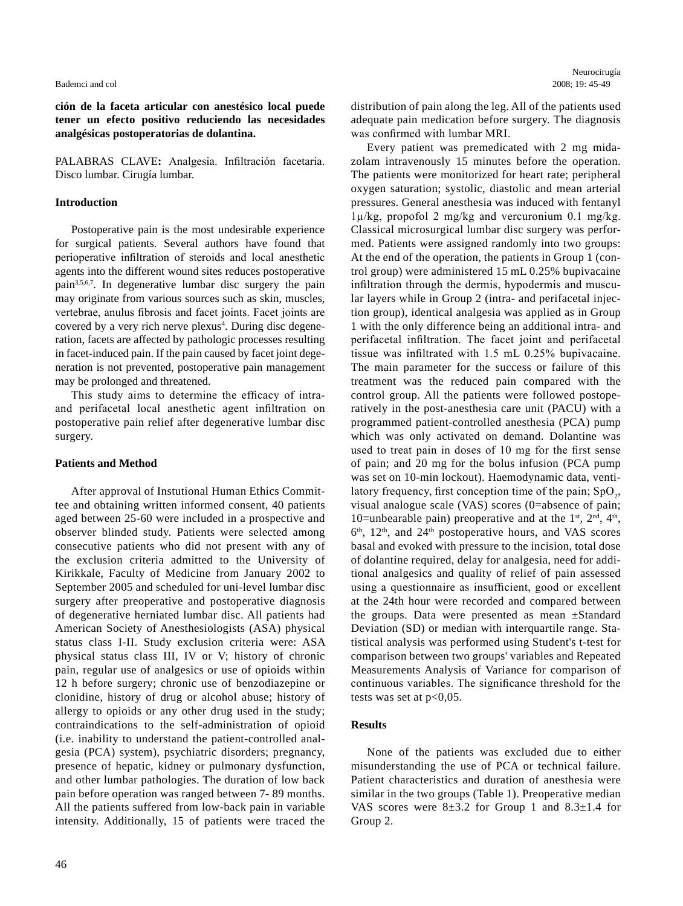#### Neurocirugía 2008; 19: 45-49

#### Bademci and col 2008; 19: 45-49

**ción de la faceta articular con anestésico local puede tener un efecto positivo reduciendo las necesidades analgésicas postoperatorias de dolantina.**

PALABRAS CLAVE**:** Analgesia. Infiltración facetaria. Disco lumbar. Cirugía lumbar.

## **Introduction**

Postoperative pain is the most undesirable experience for surgical patients. Several authors have found that perioperative infiltration of steroids and local anesthetic agents into the different wound sites reduces postoperative pain3,5,6,7. In degenerative lumbar disc surgery the pain may originate from various sources such as skin, muscles, vertebrae, anulus fibrosis and facet joints. Facet joints are covered by a very rich nerve plexus<sup>4</sup>. During disc degeneration, facets are affected by pathologic processes resulting in facet-induced pain. If the pain caused by facet joint degeneration is not prevented, postoperative pain management may be prolonged and threatened.

This study aims to determine the efficacy of intraand perifacetal local anesthetic agent infiltration on postoperative pain relief after degenerative lumbar disc surgery.

## **Patients and Method**

After approval of Instutional Human Ethics Committee and obtaining written informed consent, 40 patients aged between 25-60 were included in a prospective and observer blinded study. Patients were selected among consecutive patients who did not present with any of the exclusion criteria admitted to the University of Kirikkale, Faculty of Medicine from January 2002 to September 2005 and scheduled for uni-level lumbar disc surgery after preoperative and postoperative diagnosis of degenerative herniated lumbar disc. All patients had American Society of Anesthesiologists (ASA) physical status class I-II. Study exclusion criteria were: ASA physical status class III, IV or V; history of chronic pain, regular use of analgesics or use of opioids within 12 h before surgery; chronic use of benzodiazepine or clonidine, history of drug or alcohol abuse; history of allergy to opioids or any other drug used in the study; contraindications to the self-administration of opioid (i.e. inability to understand the patient-controlled analgesia (PCA) system), psychiatric disorders; pregnancy, presence of hepatic, kidney or pulmonary dysfunction, and other lumbar pathologies. The duration of low back pain before operation was ranged between 7- 89 months. All the patients suffered from low-back pain in variable intensity. Additionally, 15 of patients were traced the

distribution of pain along the leg. All of the patients used adequate pain medication before surgery. The diagnosis was confirmed with lumbar MRI.

Every patient was premedicated with 2 mg midazolam intravenously 15 minutes before the operation. The patients were monitorized for heart rate; peripheral oxygen saturation; systolic, diastolic and mean arterial pressures. General anesthesia was induced with fentanyl 1µ/kg, propofol 2 mg/kg and vercuronium 0.1 mg/kg. Classical microsurgical lumbar disc surgery was performed. Patients were assigned randomly into two groups: At the end of the operation, the patients in Group 1 (control group) were administered 15 mL 0.25% bupivacaine infiltration through the dermis, hypodermis and muscular layers while in Group 2 (intra- and perifacetal injection group), identical analgesia was applied as in Group 1 with the only difference being an additional intra- and perifacetal infiltration. The facet joint and perifacetal tissue was infiltrated with 1.5 mL 0.25% bupivacaine. The main parameter for the success or failure of this treatment was the reduced pain compared with the control group. All the patients were followed postoperatively in the post-anesthesia care unit (PACU) with a programmed patient-controlled anesthesia (PCA) pump which was only activated on demand. Dolantine was used to treat pain in doses of 10 mg for the first sense of pain; and 20 mg for the bolus infusion (PCA pump was set on 10-min lockout). Haemodynamic data, ventilatory frequency, first conception time of the pain;  $SpO<sub>2</sub>$ , visual analogue scale (VAS) scores (0=absence of pain; 10=unbearable pain) preoperative and at the  $1<sup>st</sup>$ ,  $2<sup>nd</sup>$ ,  $4<sup>th</sup>$ ,  $6<sup>th</sup>$ ,  $12<sup>th</sup>$ , and  $24<sup>th</sup>$  postoperative hours, and VAS scores basal and evoked with pressure to the incision, total dose of dolantine required, delay for analgesia, need for additional analgesics and quality of relief of pain assessed using a questionnaire as insufficient, good or excellent at the 24th hour were recorded and compared between the groups. Data were presented as mean ±Standard Deviation (SD) or median with interquartile range. Statistical analysis was performed using Student's t-test for comparison between two groups' variables and Repeated Measurements Analysis of Variance for comparison of continuous variables. The significance threshold for the tests was set at  $p<0.05$ .

## **Results**

None of the patients was excluded due to either misunderstanding the use of PCA or technical failure. Patient characteristics and duration of anesthesia were similar in the two groups (Table 1). Preoperative median VAS scores were  $8\pm3.2$  for Group 1 and  $8.3\pm1.4$  for Group 2.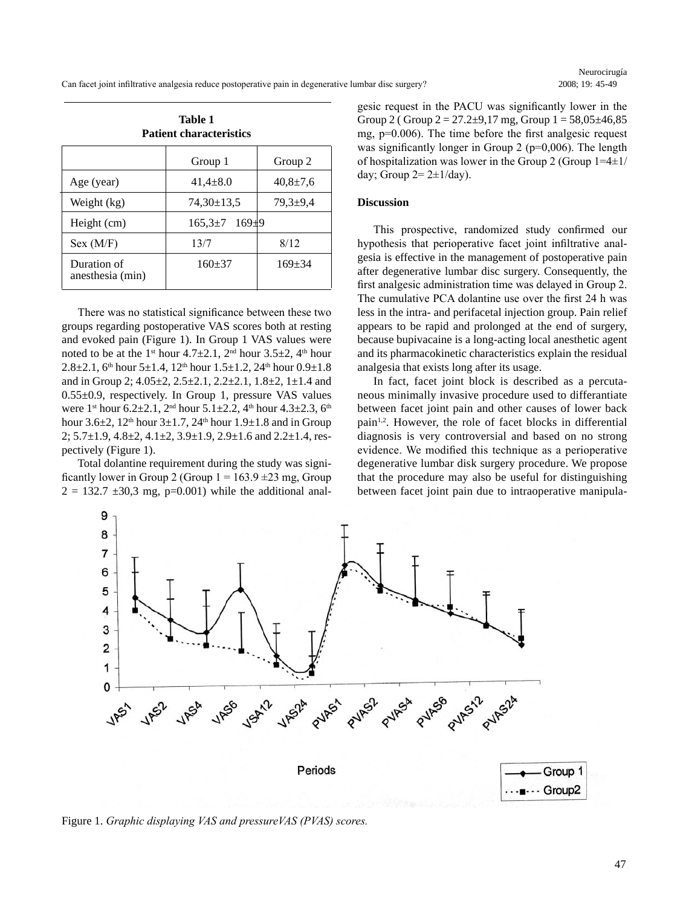Can facet joint infiltrative analgesia reduce postoperative pain in degenerative lumbar disc surgery?

| Table 1<br><b>Patient characteristics</b> |                            |                |
|-------------------------------------------|----------------------------|----------------|
|                                           | Group 1                    | Group 2        |
| Age (year)                                | $41,4\pm8.0$               | $40,8 \pm 7,6$ |
| Weight (kg)                               | 74,30±13,5                 | $79.3 + 9.4$   |
| Height (cm)                               | $169\pm9$<br>$165.3 \pm 7$ |                |
| Sex (M/F)                                 | 13/7                       | 8/12           |
| Duration of<br>anesthesia (min)           | $160+37$                   | $169 \pm 34$   |

**Table 1**

There was no statistical significance between these two groups regarding postoperative VAS scores both at resting and evoked pain (Figure 1). In Group 1 VAS values were noted to be at the 1<sup>st</sup> hour 4.7 $\pm$ 2.1, 2<sup>nd</sup> hour 3.5 $\pm$ 2, 4<sup>th</sup> hour 2.8 $\pm$ 2.1, 6<sup>th</sup> hour 5 $\pm$ 1.4, 12<sup>th</sup> hour 1.5 $\pm$ 1.2, 24<sup>th</sup> hour 0.9 $\pm$ 1.8 and in Group 2; 4.05±2, 2.5±2.1, 2.2±2.1, 1.8±2, 1±1.4 and 0.55±0.9, respectively. In Group 1, pressure VAS values were 1<sup>st</sup> hour  $6.2 \pm 2.1$ ,  $2^{nd}$  hour  $5.1 \pm 2.2$ ,  $4^{th}$  hour  $4.3 \pm 2.3$ ,  $6^{th}$ hour  $3.6\pm2$ ,  $12<sup>th</sup>$  hour  $3\pm1.7$ ,  $24<sup>th</sup>$  hour  $1.9\pm1.8$  and in Group 2; 5.7±1.9, 4.8±2, 4.1±2, 3.9±1.9, 2.9±1.6 and 2.2±1.4, respectively (Figure 1).

Total dolantine requirement during the study was significantly lower in Group 2 (Group  $1 = 163.9 \pm 23$  mg, Group  $2 = 132.7 \pm 30.3$  mg, p=0.001) while the additional analgesic request in the PACU was significantly lower in the Group 2 ( Group  $2 = 27.2 \pm 9.17$  mg, Group  $1 = 58.05 \pm 46.85$ mg, p=0.006). The time before the first analgesic request was significantly longer in Group 2 (p=0,006). The length of hospitalization was lower in the Group  $2$  (Group  $1=4\pm1/$ day; Group  $2=2\pm 1$ /day).

#### **Discussion**

This prospective, randomized study confirmed our hypothesis that perioperative facet joint infiltrative analgesia is effective in the management of postoperative pain after degenerative lumbar disc surgery. Consequently, the first analgesic administration time was delayed in Group 2. The cumulative PCA dolantine use over the first 24 h was less in the intra- and perifacetal injection group. Pain relief appears to be rapid and prolonged at the end of surgery, because bupivacaine is a long-acting local anesthetic agent and its pharmacokinetic characteristics explain the residual analgesia that exists long after its usage.

In fact, facet joint block is described as a percutaneous minimally invasive procedure used to differantiate between facet joint pain and other causes of lower back pain1,2. However, the role of facet blocks in differential diagnosis is very controversial and based on no strong evidence. We modified this technique as a perioperative degenerative lumbar disk surgery procedure. We propose that the procedure may also be useful for distinguishing between facet joint pain due to intraoperative manipula-



Figure 1. *Graphic displaying VAS and pressureVAS (PVAS) scores.*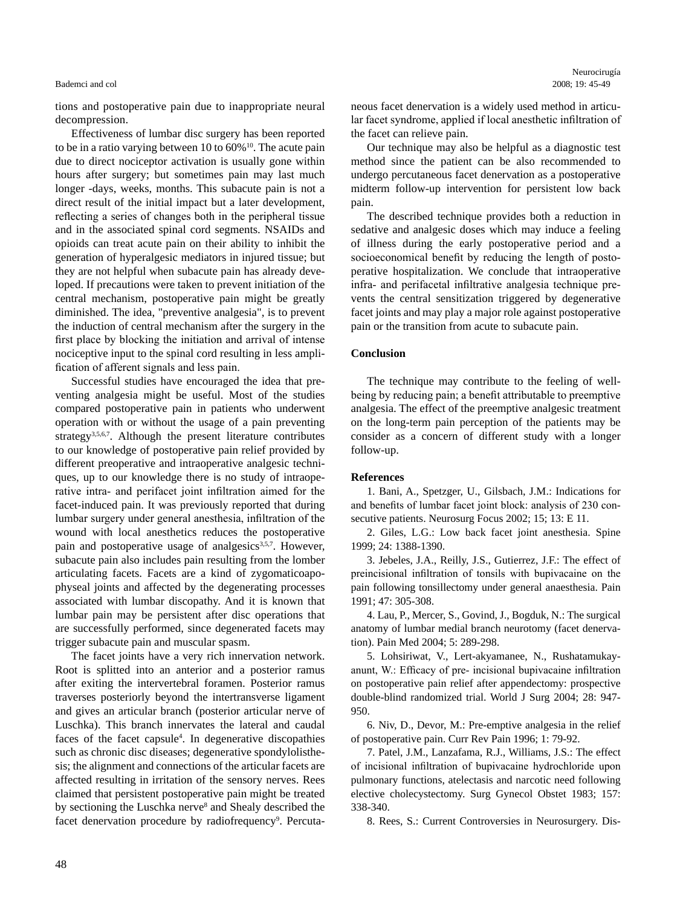### Bademci and col 2008; 19: 45-49

tions and postoperative pain due to inappropriate neural decompression.

Effectiveness of lumbar disc surgery has been reported to be in a ratio varying between 10 to  $60\%$ <sup>10</sup>. The acute pain due to direct nociceptor activation is usually gone within hours after surgery; but sometimes pain may last much longer -days, weeks, months. This subacute pain is not a direct result of the initial impact but a later development, reflecting a series of changes both in the peripheral tissue and in the associated spinal cord segments. NSAIDs and opioids can treat acute pain on their ability to inhibit the generation of hyperalgesic mediators in injured tissue; but they are not helpful when subacute pain has already developed. If precautions were taken to prevent initiation of the central mechanism, postoperative pain might be greatly diminished. The idea, "preventive analgesia", is to prevent the induction of central mechanism after the surgery in the first place by blocking the initiation and arrival of intense nociceptive input to the spinal cord resulting in less amplification of afferent signals and less pain.

Successful studies have encouraged the idea that preventing analgesia might be useful. Most of the studies compared postoperative pain in patients who underwent operation with or without the usage of a pain preventing strategy<sup>3,5,6,7</sup>. Although the present literature contributes to our knowledge of postoperative pain relief provided by different preoperative and intraoperative analgesic techniques, up to our knowledge there is no study of intraoperative intra- and perifacet joint infiltration aimed for the facet-induced pain. It was previously reported that during lumbar surgery under general anesthesia, infiltration of the wound with local anesthetics reduces the postoperative pain and postoperative usage of analgesics<sup>3,5,7</sup>. However, subacute pain also includes pain resulting from the lomber articulating facets. Facets are a kind of zygomaticoapophyseal joints and affected by the degenerating processes associated with lumbar discopathy. And it is known that lumbar pain may be persistent after disc operations that are successfully performed, since degenerated facets may trigger subacute pain and muscular spasm.

The facet joints have a very rich innervation network. Root is splitted into an anterior and a posterior ramus after exiting the intervertebral foramen. Posterior ramus traverses posteriorly beyond the intertransverse ligament and gives an articular branch (posterior articular nerve of Luschka). This branch innervates the lateral and caudal faces of the facet capsule<sup>4</sup>. In degenerative discopathies such as chronic disc diseases; degenerative spondylolisthesis; the alignment and connections of the articular facets are affected resulting in irritation of the sensory nerves. Rees claimed that persistent postoperative pain might be treated by sectioning the Luschka nerve<sup>8</sup> and Shealy described the facet denervation procedure by radiofrequency<sup>9</sup>. Percutaneous facet denervation is a widely used method in articular facet syndrome, applied if local anesthetic infiltration of the facet can relieve pain.

Our technique may also be helpful as a diagnostic test method since the patient can be also recommended to undergo percutaneous facet denervation as a postoperative midterm follow-up intervention for persistent low back pain.

The described technique provides both a reduction in sedative and analgesic doses which may induce a feeling of illness during the early postoperative period and a socioeconomical benefit by reducing the length of postoperative hospitalization. We conclude that intraoperative infra- and perifacetal infiltrative analgesia technique prevents the central sensitization triggered by degenerative facet joints and may play a major role against postoperative pain or the transition from acute to subacute pain.

## **Conclusion**

The technique may contribute to the feeling of wellbeing by reducing pain; a benefit attributable to preemptive analgesia. The effect of the preemptive analgesic treatment on the long-term pain perception of the patients may be consider as a concern of different study with a longer follow-up.

## **References**

1. Bani, A., Spetzger, U., Gilsbach, J.M.: Indications for and benefits of lumbar facet joint block: analysis of 230 consecutive patients. Neurosurg Focus 2002; 15; 13: E 11.

2. Giles, L.G.: Low back facet joint anesthesia. Spine 1999; 24: 1388-1390.

3. Jebeles, J.A., Reilly, J.S., Gutierrez, J.F.: The effect of preincisional infiltration of tonsils with bupivacaine on the pain following tonsillectomy under general anaesthesia. Pain 1991; 47: 305-308.

4. Lau, P., Mercer, S., Govind, J., Bogduk, N.: The surgical anatomy of lumbar medial branch neurotomy (facet denervation). Pain Med 2004; 5: 289-298.

 5. Lohsiriwat, V., Lert-akyamanee, N., Rushatamukayanunt, W.: Efficacy of pre‑ incisional bupivacaine infiltration on postoperative pain relief after appendectomy: prospective double-blind randomized trial. World J Surg 2004; 28: 947- 950.

 6. Niv, D., Devor, M.: Pre-emptive analgesia in the relief of postoperative pain. Curr Rev Pain 1996; 1: 79-92.

7. Patel, J.M., Lanzafama, R.J., Williams, J.S.: The effect of incisional infiltration of bupivacaine hydrochloride upon pulmonary functions, atelectasis and narcotic need following elective cholecystectomy. Surg Gynecol Obstet 1983; 157: 338-340.

8. Rees, S.: Current Controversies in Neurosurgery. Dis-